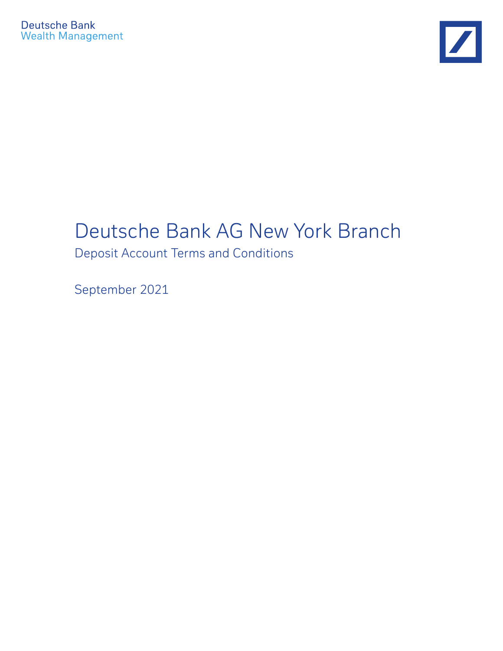

# Deutsche Bank AG New York Branch

Deposit Account Terms and Conditions

September 2021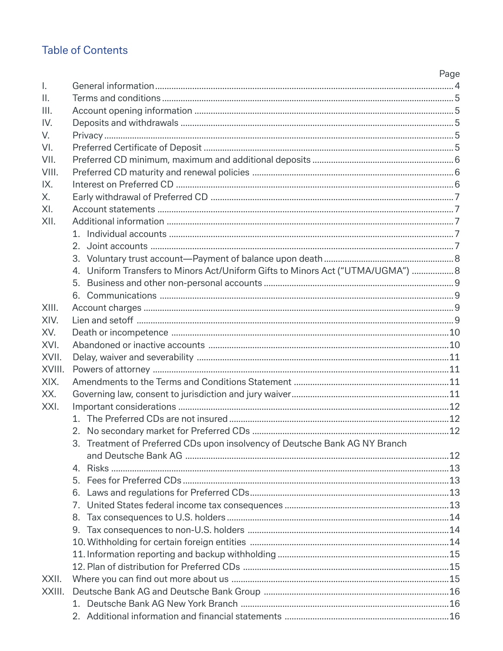## **Table of Contents**

|                |                                                                                 | Page |
|----------------|---------------------------------------------------------------------------------|------|
| $\mathsf{L}$   |                                                                                 |      |
| $\mathbb{I}$ . |                                                                                 |      |
| III.           |                                                                                 |      |
| IV.            |                                                                                 |      |
| V.             |                                                                                 |      |
| VI.            |                                                                                 |      |
| VII.           |                                                                                 |      |
| VIII.          |                                                                                 |      |
| IX.            |                                                                                 |      |
| X.             |                                                                                 |      |
| XI.            |                                                                                 |      |
| XII.           |                                                                                 |      |
|                |                                                                                 |      |
|                | 2.                                                                              |      |
|                |                                                                                 |      |
|                | 4. Uniform Transfers to Minors Act/Uniform Gifts to Minors Act ("UTMA/UGMA")  8 |      |
|                |                                                                                 |      |
|                |                                                                                 |      |
| XIII.          |                                                                                 |      |
| XIV.           |                                                                                 |      |
| XV.            |                                                                                 |      |
| XVI.           |                                                                                 |      |
| XVII.          |                                                                                 |      |
| XVIII.         |                                                                                 |      |
| XIX.           |                                                                                 |      |
| XX.            |                                                                                 |      |
| XXI.           |                                                                                 |      |
|                |                                                                                 |      |
|                |                                                                                 |      |
|                | 3. Treatment of Preferred CDs upon insolvency of Deutsche Bank AG NY Branch     |      |
|                |                                                                                 |      |
|                | 4.                                                                              |      |
|                |                                                                                 |      |
|                | 6.                                                                              |      |
|                | 7.                                                                              |      |
|                | 8.                                                                              |      |
|                | 9.                                                                              |      |
|                |                                                                                 |      |
|                |                                                                                 |      |
|                |                                                                                 |      |
| XXII.          |                                                                                 |      |
| XXIII.         |                                                                                 |      |
|                |                                                                                 |      |
|                |                                                                                 |      |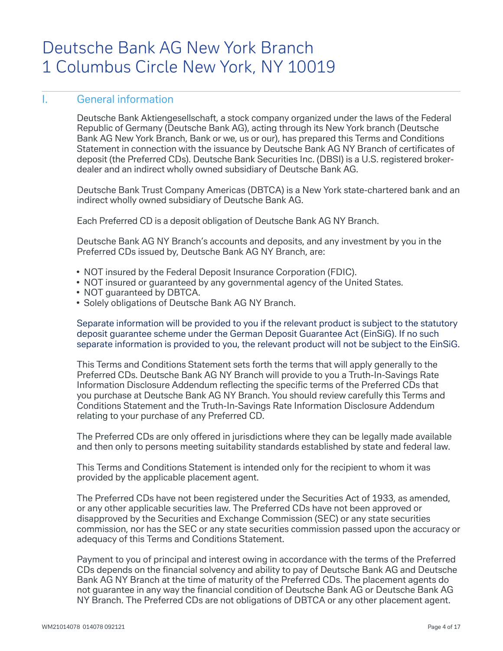## Deutsche Bank AG New York Branch 1 Columbus Circle New York, NY 10019

## I. General information

 Deutsche Bank Aktiengesellschaft, a stock company organized under the laws of the Federal Republic of Germany (Deutsche Bank AG), acting through its New York branch (Deutsche Bank AG New York Branch, Bank or we, us or our), has prepared this Terms and Conditions Statement in connection with the issuance by Deutsche Bank AG NY Branch of certificates of deposit (the Preferred CDs). Deutsche Bank Securities Inc. (DBSI) is a U.S. registered brokerdealer and an indirect wholly owned subsidiary of Deutsche Bank AG.

Deutsche Bank Trust Company Americas (DBTCA) is a New York state-chartered bank and an indirect wholly owned subsidiary of Deutsche Bank AG.

Each Preferred CD is a deposit obligation of Deutsche Bank AG NY Branch.

 Deutsche Bank AG NY Branch's accounts and deposits, and any investment by you in the Preferred CDs issued by, Deutsche Bank AG NY Branch, are:

- NOT insured by the Federal Deposit Insurance Corporation (FDIC).
- NOT insured or guaranteed by any governmental agency of the United States.
- NOT guaranteed by DBTCA.
- Solely obligations of Deutsche Bank AG NY Branch.

 Separate information will be provided to you if the relevant product is subject to the statutory deposit guarantee scheme under the German Deposit Guarantee Act (EinSiG). If no such separate information is provided to you, the relevant product will not be subject to the EinSiG.

 This Terms and Conditions Statement sets forth the terms that will apply generally to the Preferred CDs. Deutsche Bank AG NY Branch will provide to you a Truth-In-Savings Rate Information Disclosure Addendum reflecting the specific terms of the Preferred CDs that you purchase at Deutsche Bank AG NY Branch. You should review carefully this Terms and Conditions Statement and the Truth-In-Savings Rate Information Disclosure Addendum relating to your purchase of any Preferred CD.

The Preferred CDs are only offered in jurisdictions where they can be legally made available and then only to persons meeting suitability standards established by state and federal law.

 This Terms and Conditions Statement is intended only for the recipient to whom it was provided by the applicable placement agent.

 The Preferred CDs have not been registered under the Securities Act of 1933, as amended, or any other applicable securities law. The Preferred CDs have not been approved or disapproved by the Securities and Exchange Commission (SEC) or any state securities commission, nor has the SEC or any state securities commission passed upon the accuracy or adequacy of this Terms and Conditions Statement.

 Payment to you of principal and interest owing in accordance with the terms of the Preferred CDs depends on the financial solvency and ability to pay of Deutsche Bank AG and Deutsche Bank AG NY Branch at the time of maturity of the Preferred CDs. The placement agents do not guarantee in any way the financial condition of Deutsche Bank AG or Deutsche Bank AG NY Branch. The Preferred CDs are not obligations of DBTCA or any other placement agent.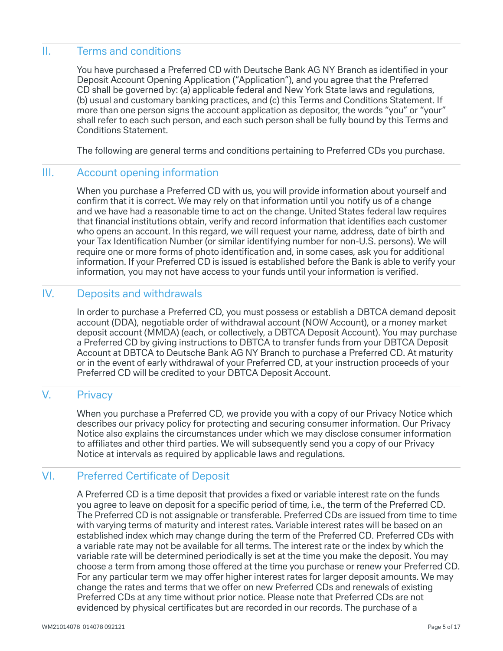## II. Terms and conditions

You have purchased a Preferred CD with Deutsche Bank AG NY Branch as identified in your Deposit Account Opening Application ("Application"), and you agree that the Preferred CD shall be governed by: (a) applicable federal and New York State laws and regulations, (b) usual and customary banking practices, and (c) this Terms and Conditions Statement. If more than one person signs the account application as depositor, the words "you" or "your" shall refer to each such person, and each such person shall be fully bound by this Terms and Conditions Statement.

The following are general terms and conditions pertaining to Preferred CDs you purchase.

## III. Account opening information

 When you purchase a Preferred CD with us, you will provide information about yourself and confirm that it is correct. We may rely on that information until you notify us of a change and we have had a reasonable time to act on the change. United States federal law requires that financial institutions obtain, verify and record information that identifies each customer who opens an account. In this regard, we will request your name, address, date of birth and your Tax Identification Number (or similar identifying number for non-U.S. persons). We will require one or more forms of photo identification and, in some cases, ask you for additional information. If your Preferred CD is issued is established before the Bank is able to verify your information, you may not have access to your funds until your information is verified.

#### IV. Deposits and withdrawals

 In order to purchase a Preferred CD, you must possess or establish a DBTCA demand deposit account (DDA), negotiable order of withdrawal account (NOW Account), or a money market deposit account (MMDA) (each, or collectively, a DBTCA Deposit Account). You may purchase a Preferred CD by giving instructions to DBTCA to transfer funds from your DBTCA Deposit Account at DBTCA to Deutsche Bank AG NY Branch to purchase a Preferred CD. At maturity or in the event of early withdrawal of your Preferred CD, at your instruction proceeds of your Preferred CD will be credited to your DBTCA Deposit Account.

## V. Privacy

 When you purchase a Preferred CD, we provide you with a copy of our Privacy Notice which describes our privacy policy for protecting and securing consumer information. Our Privacy Notice also explains the circumstances under which we may disclose consumer information to affiliates and other third parties. We will subsequently send you a copy of our Privacy Notice at intervals as required by applicable laws and regulations.

## VI. Preferred Certificate of Deposit

A Preferred CD is a time deposit that provides a fixed or variable interest rate on the funds you agree to leave on deposit for a specific period of time, i.e., the term of the Preferred CD. The Preferred CD is not assignable or transferable. Preferred CDs are issued from time to time with varying terms of maturity and interest rates. Variable interest rates will be based on an established index which may change during the term of the Preferred CD. Preferred CDs with a variable rate may not be available for all terms. The interest rate or the index by which the variable rate will be determined periodically is set at the time you make the deposit. You may choose a term from among those offered at the time you purchase or renew your Preferred CD. For any particular term we may offer higher interest rates for larger deposit amounts. We may change the rates and terms that we offer on new Preferred CDs and renewals of existing Preferred CDs at any time without prior notice. Please note that Preferred CDs are not evidenced by physical certificates but are recorded in our records. The purchase of a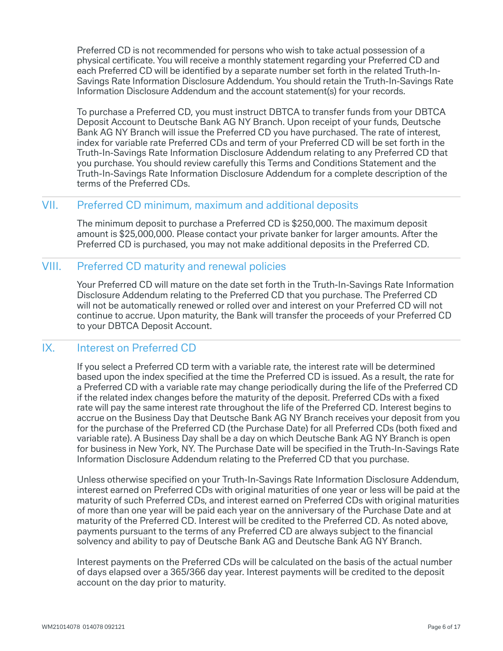Preferred CD is not recommended for persons who wish to take actual possession of a physical certificate. You will receive a monthly statement regarding your Preferred CD and each Preferred CD will be identified by a separate number set forth in the related Truth-In-Savings Rate Information Disclosure Addendum. You should retain the Truth-In-Savings Rate Information Disclosure Addendum and the account statement(s) for your records.

 To purchase a Preferred CD, you must instruct DBTCA to transfer funds from your DBTCA Deposit Account to Deutsche Bank AG NY Branch. Upon receipt of your funds, Deutsche Bank AG NY Branch will issue the Preferred CD you have purchased. The rate of interest, index for variable rate Preferred CDs and term of your Preferred CD will be set forth in the Truth-In-Savings Rate Information Disclosure Addendum relating to any Preferred CD that you purchase. You should review carefully this Terms and Conditions Statement and the Truth-In-Savings Rate Information Disclosure Addendum for a complete description of the terms of the Preferred CDs.

## VII. Preferred CD minimum, maximum and additional deposits

 The minimum deposit to purchase a Preferred CD is \$250,000. The maximum deposit amount is \$25,000,000. Please contact your private banker for larger amounts. After the Preferred CD is purchased, you may not make additional deposits in the Preferred CD.

## VIII. Preferred CD maturity and renewal policies

 Your Preferred CD will mature on the date set forth in the Truth-In-Savings Rate Information Disclosure Addendum relating to the Preferred CD that you purchase. The Preferred CD will not be automatically renewed or rolled over and interest on your Preferred CD will not continue to accrue. Upon maturity, the Bank will transfer the proceeds of your Preferred CD to your DBTCA Deposit Account.

### IX. Interest on Preferred CD

 If you select a Preferred CD term with a variable rate, the interest rate will be determined based upon the index specified at the time the Preferred CD is issued. As a result, the rate for a Preferred CD with a variable rate may change periodically during the life of the Preferred CD if the related index changes before the maturity of the deposit. Preferred CDs with a fixed rate will pay the same interest rate throughout the life of the Preferred CD. Interest begins to accrue on the Business Day that Deutsche Bank AG NY Branch receives your deposit from you for the purchase of the Preferred CD (the Purchase Date) for all Preferred CDs (both fixed and variable rate). A Business Day shall be a day on which Deutsche Bank AG NY Branch is open for business in New York, NY. The Purchase Date will be specified in the Truth-In-Savings Rate Information Disclosure Addendum relating to the Preferred CD that you purchase.

Unless otherwise specified on your Truth-In-Savings Rate Information Disclosure Addendum, interest earned on Preferred CDs with original maturities of one year or less will be paid at the maturity of such Preferred CDs, and interest earned on Preferred CDs with original maturities of more than one year will be paid each year on the anniversary of the Purchase Date and at maturity of the Preferred CD. Interest will be credited to the Preferred CD. As noted above, payments pursuant to the terms of any Preferred CD are always subject to the financial solvency and ability to pay of Deutsche Bank AG and Deutsche Bank AG NY Branch.

 Interest payments on the Preferred CDs will be calculated on the basis of the actual number of days elapsed over a 365/366 day year. Interest payments will be credited to the deposit account on the day prior to maturity.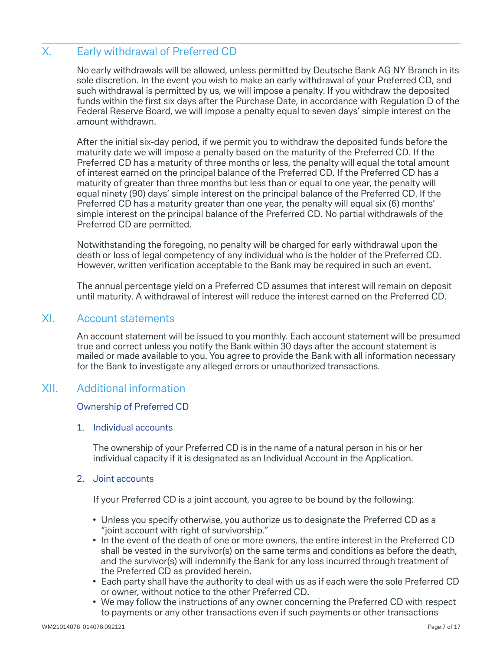## X. Early withdrawal of Preferred CD

 No early withdrawals will be allowed, unless permitted by Deutsche Bank AG NY Branch in its sole discretion. In the event you wish to make an early withdrawal of your Preferred CD, and such withdrawal is permitted by us, we will impose a penalty. If you withdraw the deposited funds within the first six days after the Purchase Date, in accordance with Regulation D of the Federal Reserve Board, we will impose a penalty equal to seven days' simple interest on the amount withdrawn.

 After the initial six-day period, if we permit you to withdraw the deposited funds before the maturity date we will impose a penalty based on the maturity of the Preferred CD. If the Preferred CD has a maturity of three months or less, the penalty will equal the total amount of interest earned on the principal balance of the Preferred CD. If the Preferred CD has a maturity of greater than three months but less than or equal to one year, the penalty will equal ninety (90) days' simple interest on the principal balance of the Preferred CD. If the Preferred CD has a maturity greater than one year, the penalty will equal six (6) months' simple interest on the principal balance of the Preferred CD. No partial withdrawals of the Preferred CD are permitted.

 Notwithstanding the foregoing, no penalty will be charged for early withdrawal upon the death or loss of legal competency of any individual who is the holder of the Preferred CD. However, written verification acceptable to the Bank may be required in such an event.

 The annual percentage yield on a Preferred CD assumes that interest will remain on deposit until maturity. A withdrawal of interest will reduce the interest earned on the Preferred CD.

## XI. Account statements

 An account statement will be issued to you monthly. Each account statement will be presumed true and correct unless you notify the Bank within 30 days after the account statement is mailed or made available to you. You agree to provide the Bank with all information necessary for the Bank to investigate any alleged errors or unauthorized transactions.

### XII. Additional information

#### Ownership of Preferred CD

#### 1. Individual accounts

 The ownership of your Preferred CD is in the name of a natural person in his or her individual capacity if it is designated as an Individual Account in the Application.

#### 2. Joint accounts

If your Preferred CD is a joint account, you agree to be bound by the following:

- Unless you specify otherwise, you authorize us to designate the Preferred CD as a "joint account with right of survivorship."
- In the event of the death of one or more owners, the entire interest in the Preferred CD shall be vested in the survivor(s) on the same terms and conditions as before the death, and the survivor(s) will indemnify the Bank for any loss incurred through treatment of the Preferred CD as provided herein.
- Each party shall have the authority to deal with us as if each were the sole Preferred CD or owner, without notice to the other Preferred CD.
- We may follow the instructions of any owner concerning the Preferred CD with respect to payments or any other transactions even if such payments or other transactions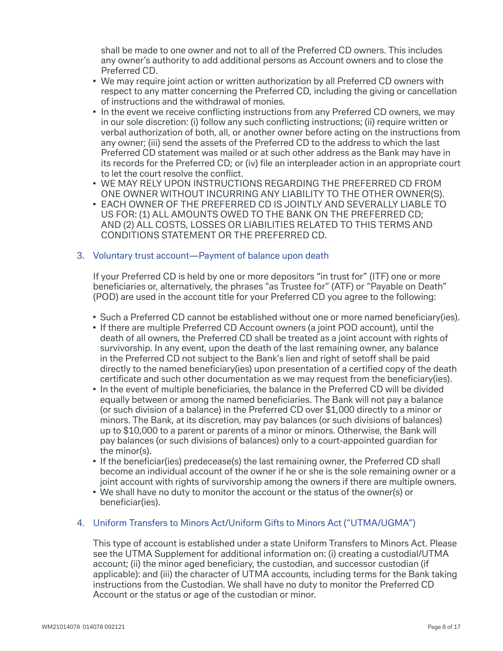shall be made to one owner and not to all of the Preferred CD owners. This includes any owner's authority to add additional persons as Account owners and to close the Preferred CD.

- We may require joint action or written authorization by all Preferred CD owners with respect to any matter concerning the Preferred CD, including the giving or cancellation of instructions and the withdrawal of monies.
- In the event we receive conflicting instructions from any Preferred CD owners, we may in our sole discretion: (i) follow any such conflicting instructions; (ii) require written or verbal authorization of both, all, or another owner before acting on the instructions from any owner; (iii) send the assets of the Preferred CD to the address to which the last Preferred CD statement was mailed or at such other address as the Bank may have in its records for the Preferred CD; or (iv) file an interpleader action in an appropriate court to let the court resolve the conflict.
- WE MAY RELY UPON INSTRUCTIONS REGARDING THE PREFERRED CD FROM ONE OWNER WITHOUT INCURRING ANY LIABILITY TO THE OTHER OWNER(S).
- EACH OWNER OF THE PREFERRED CD IS JOINTLY AND SEVERALLY LIABLE TO US FOR: (1) ALL AMOUNTS OWED TO THE BANK ON THE PREFERRED CD; AND (2) ALL COSTS, LOSSES OR LIABILITIES RELATED TO THIS TERMS AND CONDITIONS STATEMENT OR THE PREFERRED CD.

#### 3. Voluntary trust account—Payment of balance upon death

 If your Preferred CD is held by one or more depositors "in trust for" (ITF) one or more beneficiaries or, alternatively, the phrases "as Trustee for" (ATF) or "Payable on Death" (POD) are used in the account title for your Preferred CD you agree to the following:

- Such a Preferred CD cannot be established without one or more named beneficiary(ies).
- If there are multiple Preferred CD Account owners (a joint POD account), until the death of all owners, the Preferred CD shall be treated as a joint account with rights of survivorship. In any event, upon the death of the last remaining owner, any balance in the Preferred CD not subject to the Bank's lien and right of setoff shall be paid directly to the named beneficiary(ies) upon presentation of a certified copy of the death certificate and such other documentation as we may request from the beneficiary(ies).
- In the event of multiple beneficiaries, the balance in the Preferred CD will be divided equally between or among the named beneficiaries. The Bank will not pay a balance (or such division of a balance) in the Preferred CD over \$1,000 directly to a minor or minors. The Bank, at its discretion, may pay balances (or such divisions of balances) up to \$10,000 to a parent or parents of a minor or minors. Otherwise, the Bank will pay balances (or such divisions of balances) only to a court-appointed guardian for the minor(s).
- If the beneficiar(ies) predecease(s) the last remaining owner, the Preferred CD shall become an individual account of the owner if he or she is the sole remaining owner or a joint account with rights of survivorship among the owners if there are multiple owners.
- We shall have no duty to monitor the account or the status of the owner(s) or beneficiar(ies).

#### 4. Uniform Transfers to Minors Act/Uniform Gifts to Minors Act ("UTMA/UGMA")

 This type of account is established under a state Uniform Transfers to Minors Act. Please see the UTMA Supplement for additional information on: (i) creating a custodial/UTMA account; (ii) the minor aged beneficiary, the custodian, and successor custodian (if applicable): and (iii) the character of UTMA accounts, including terms for the Bank taking instructions from the Custodian. We shall have no duty to monitor the Preferred CD Account or the status or age of the custodian or minor.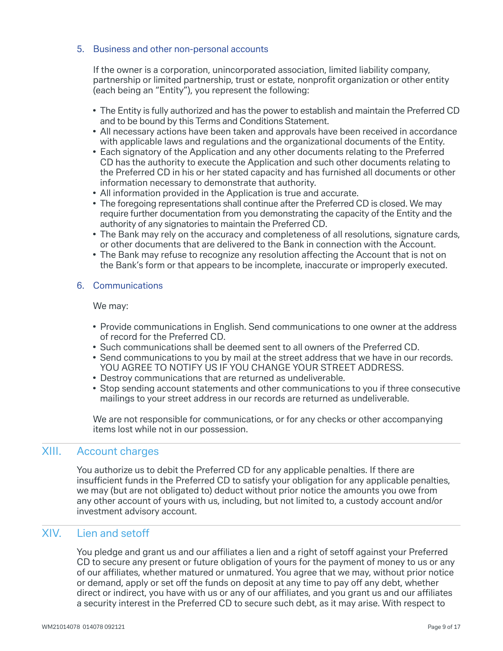#### 5. Business and other non-personal accounts

 If the owner is a corporation, unincorporated association, limited liability company, partnership or limited partnership, trust or estate, nonprofit organization or other entity (each being an "Entity"), you represent the following:

- The Entity is fully authorized and has the power to establish and maintain the Preferred CD and to be bound by this Terms and Conditions Statement.
- All necessary actions have been taken and approvals have been received in accordance with applicable laws and regulations and the organizational documents of the Entity.
- Each signatory of the Application and any other documents relating to the Preferred CD has the authority to execute the Application and such other documents relating to the Preferred CD in his or her stated capacity and has furnished all documents or other information necessary to demonstrate that authority.
- All information provided in the Application is true and accurate.
- The foregoing representations shall continue after the Preferred CD is closed. We may require further documentation from you demonstrating the capacity of the Entity and the authority of any signatories to maintain the Preferred CD.
- The Bank may rely on the accuracy and completeness of all resolutions, signature cards, or other documents that are delivered to the Bank in connection with the Account.
- The Bank may refuse to recognize any resolution affecting the Account that is not on the Bank's form or that appears to be incomplete, inaccurate or improperly executed.

#### 6. Communications

We may:

- Provide communications in English. Send communications to one owner at the address of record for the Preferred CD.
- Such communications shall be deemed sent to all owners of the Preferred CD.
- Send communications to you by mail at the street address that we have in our records. YOU AGREE TO NOTIFY US IF YOU CHANGE YOUR STREET ADDRESS.
- Destroy communications that are returned as undeliverable.
- Stop sending account statements and other communications to you if three consecutive mailings to your street address in our records are returned as undeliverable.

 We are not responsible for communications, or for any checks or other accompanying items lost while not in our possession.

## XIII. Account charges

 You authorize us to debit the Preferred CD for any applicable penalties. If there are insufficient funds in the Preferred CD to satisfy your obligation for any applicable penalties, we may (but are not obligated to) deduct without prior notice the amounts you owe from any other account of yours with us, including, but not limited to, a custody account and/or investment advisory account.

## XIV. Lien and setoff

You pledge and grant us and our affiliates a lien and a right of setoff against your Preferred CD to secure any present or future obligation of yours for the payment of money to us or any of our affiliates, whether matured or unmatured. You agree that we may, without prior notice or demand, apply or set off the funds on deposit at any time to pay off any debt, whether direct or indirect, you have with us or any of our affiliates, and you grant us and our affiliates a security interest in the Preferred CD to secure such debt, as it may arise. With respect to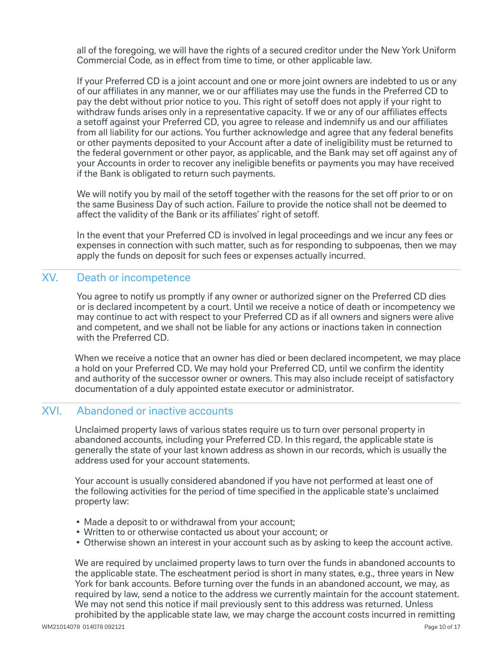all of the foregoing, we will have the rights of a secured creditor under the New York Uniform Commercial Code, as in effect from time to time, or other applicable law.

 If your Preferred CD is a joint account and one or more joint owners are indebted to us or any of our affiliates in any manner, we or our affiliates may use the funds in the Preferred CD to pay the debt without prior notice to you. This right of setoff does not apply if your right to withdraw funds arises only in a representative capacity. If we or any of our affiliates effects a setoff against your Preferred CD, you agree to release and indemnify us and our affiliates from all liability for our actions. You further acknowledge and agree that any federal benefits or other payments deposited to your Account after a date of ineligibility must be returned to the federal government or other payor, as applicable, and the Bank may set off against any of your Accounts in order to recover any ineligible benefits or payments you may have received if the Bank is obligated to return such payments.

We will notify you by mail of the setoff together with the reasons for the set off prior to or on the same Business Day of such action. Failure to provide the notice shall not be deemed to affect the validity of the Bank or its affiliates' right of setoff.

 In the event that your Preferred CD is involved in legal proceedings and we incur any fees or expenses in connection with such matter, such as for responding to subpoenas, then we may apply the funds on deposit for such fees or expenses actually incurred.

## XV. Death or incompetence

 You agree to notify us promptly if any owner or authorized signer on the Preferred CD dies or is declared incompetent by a court. Until we receive a notice of death or incompetency we may continue to act with respect to your Preferred CD as if all owners and signers were alive and competent, and we shall not be liable for any actions or inactions taken in connection with the Preferred CD.

 When we receive a notice that an owner has died or been declared incompetent, we may place a hold on your Preferred CD. We may hold your Preferred CD, until we confirm the identity and authority of the successor owner or owners. This may also include receipt of satisfactory documentation of a duly appointed estate executor or administrator.

### XVI. Abandoned or inactive accounts

 Unclaimed property laws of various states require us to turn over personal property in abandoned accounts, including your Preferred CD. In this regard, the applicable state is generally the state of your last known address as shown in our records, which is usually the address used for your account statements.

 Your account is usually considered abandoned if you have not performed at least one of the following activities for the period of time specified in the applicable state's unclaimed property law:

- Made a deposit to or withdrawal from your account;
- Written to or otherwise contacted us about your account; or
- Otherwise shown an interest in your account such as by asking to keep the account active.

 We are required by unclaimed property laws to turn over the funds in abandoned accounts to the applicable state. The escheatment period is short in many states, e.g., three years in New York for bank accounts. Before turning over the funds in an abandoned account, we may, as required by law, send a notice to the address we currently maintain for the account statement. We may not send this notice if mail previously sent to this address was returned. Unless prohibited by the applicable state law, we may charge the account costs incurred in remitting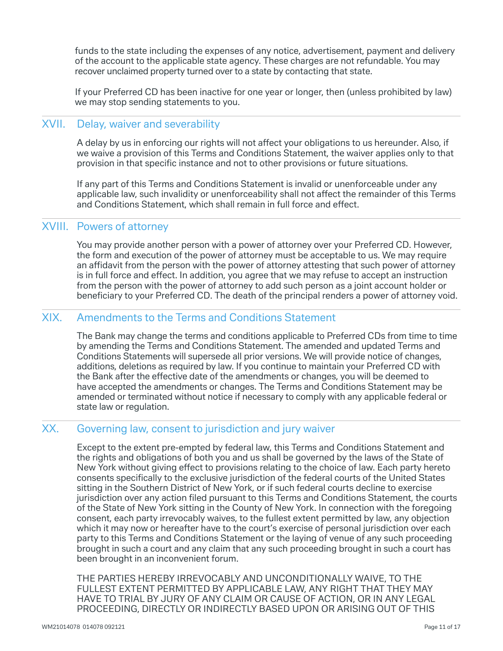funds to the state including the expenses of any notice, advertisement, payment and delivery of the account to the applicable state agency. These charges are not refundable. You may recover unclaimed property turned over to a state by contacting that state.

 If your Preferred CD has been inactive for one year or longer, then (unless prohibited by law) we may stop sending statements to you.

### XVII. Delay, waiver and severability

A delay by us in enforcing our rights will not affect your obligations to us hereunder. Also, if we waive a provision of this Terms and Conditions Statement, the waiver applies only to that provision in that specific instance and not to other provisions or future situations.

 If any part of this Terms and Conditions Statement is invalid or unenforceable under any applicable law, such invalidity or unenforceability shall not affect the remainder of this Terms and Conditions Statement, which shall remain in full force and effect.

## XVIII. Powers of attorney

 You may provide another person with a power of attorney over your Preferred CD. However, the form and execution of the power of attorney must be acceptable to us. We may require an affidavit from the person with the power of attorney attesting that such power of attorney is in full force and effect. In addition, you agree that we may refuse to accept an instruction from the person with the power of attorney to add such person as a joint account holder or beneficiary to your Preferred CD. The death of the principal renders a power of attorney void.

## XIX. Amendments to the Terms and Conditions Statement

 The Bank may change the terms and conditions applicable to Preferred CDs from time to time by amending the Terms and Conditions Statement. The amended and updated Terms and Conditions Statements will supersede all prior versions. We will provide notice of changes, additions, deletions as required by law. If you continue to maintain your Preferred CD with the Bank after the effective date of the amendments or changes, you will be deemed to have accepted the amendments or changes. The Terms and Conditions Statement may be amended or terminated without notice if necessary to comply with any applicable federal or state law or regulation.

#### XX. Governing law, consent to jurisdiction and jury waiver

 Except to the extent pre-empted by federal law, this Terms and Conditions Statement and the rights and obligations of both you and us shall be governed by the laws of the State of New York without giving effect to provisions relating to the choice of law. Each party hereto consents specifically to the exclusive jurisdiction of the federal courts of the United States sitting in the Southern District of New York, or if such federal courts decline to exercise jurisdiction over any action filed pursuant to this Terms and Conditions Statement, the courts of the State of New York sitting in the County of New York. In connection with the foregoing consent, each party irrevocably waives, to the fullest extent permitted by law, any objection which it may now or hereafter have to the court's exercise of personal jurisdiction over each party to this Terms and Conditions Statement or the laying of venue of any such proceeding brought in such a court and any claim that any such proceeding brought in such a court has been brought in an inconvenient forum.

 THE PARTIES HEREBY IRREVOCABLY AND UNCONDITIONALLY WAIVE, TO THE FULLEST EXTENT PERMITTED BY APPLICABLE LAW, ANY RIGHT THAT THEY MAY HAVE TO TRIAL BY JURY OF ANY CLAIM OR CAUSE OF ACTION, OR IN ANY LEGAL PROCEEDING, DIRECTLY OR INDIRECTLY BASED UPON OR ARISING OUT OF THIS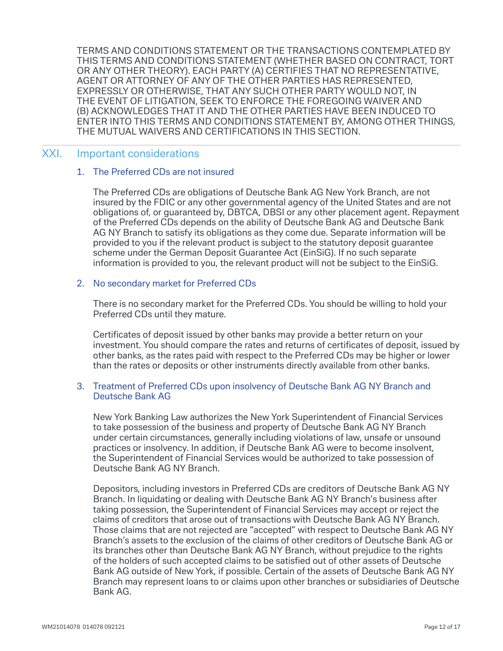TERMS AND CONDITIONS STATEMENT OR THE TRANSACTIONS CONTEMPLATED BY THIS TERMS AND CONDITIONS STATEMENT (WHETHER BASED ON CONTRACT, TORT OR ANY OTHER THEORY). EACH PARTY (A) CERTIFIES THAT NO REPRESENTATIVE, AGENT OR ATTORNEY OF ANY OF THE OTHER PARTIES HAS REPRESENTED, EXPRESSLY OR OTHERWISE, THAT ANY SUCH OTHER PARTY WOULD NOT, IN THE EVENT OF LITIGATION, SEEK TO ENFORCE THE FOREGOING WAIVER AND (B) ACKNOWLEDGES THAT IT AND THE OTHER PARTIES HAVE BEEN INDUCED TO ENTER INTO THIS TERMS AND CONDITIONS STATEMENT BY, AMONG OTHER THINGS, THE MUTUAL WAIVERS AND CERTIFICATIONS IN THIS SECTION.

#### XXI. Important considerations

#### 1. The Preferred CDs are not insured

 The Preferred CDs are obligations of Deutsche Bank AG New York Branch, are not insured by the FDIC or any other governmental agency of the United States and are not obligations of, or guaranteed by, DBTCA, DBSI or any other placement agent. Repayment of the Preferred CDs depends on the ability of Deutsche Bank AG and Deutsche Bank AG NY Branch to satisfy its obligations as they come due. Separate information will be provided to you if the relevant product is subject to the statutory deposit guarantee scheme under the German Deposit Guarantee Act (EinSiG). If no such separate information is provided to you, the relevant product will not be subject to the EinSiG.

#### 2. No secondary market for Preferred CDs

 There is no secondary market for the Preferred CDs. You should be willing to hold your Preferred CDs until they mature.

Certificates of deposit issued by other banks may provide a better return on your investment. You should compare the rates and returns of certificates of deposit, issued by other banks, as the rates paid with respect to the Preferred CDs may be higher or lower than the rates or deposits or other instruments directly available from other banks.

#### 3. Treatment of Preferred CDs upon insolvency of Deutsche Bank AG NY Branch and Deutsche Bank AG

 New York Banking Law authorizes the New York Superintendent of Financial Services to take possession of the business and property of Deutsche Bank AG NY Branch under certain circumstances, generally including violations of law, unsafe or unsound practices or insolvency. In addition, if Deutsche Bank AG were to become insolvent, the Superintendent of Financial Services would be authorized to take possession of Deutsche Bank AG NY Branch.

 Depositors, including investors in Preferred CDs are creditors of Deutsche Bank AG NY Branch. In liquidating or dealing with Deutsche Bank AG NY Branch's business after taking possession, the Superintendent of Financial Services may accept or reject the claims of creditors that arose out of transactions with Deutsche Bank AG NY Branch. Those claims that are not rejected are "accepted" with respect to Deutsche Bank AG NY Branch's assets to the exclusion of the claims of other creditors of Deutsche Bank AG or its branches other than Deutsche Bank AG NY Branch, without prejudice to the rights of the holders of such accepted claims to be satisfied out of other assets of Deutsche Bank AG outside of New York, if possible. Certain of the assets of Deutsche Bank AG NY Branch may represent loans to or claims upon other branches or subsidiaries of Deutsche Bank AG.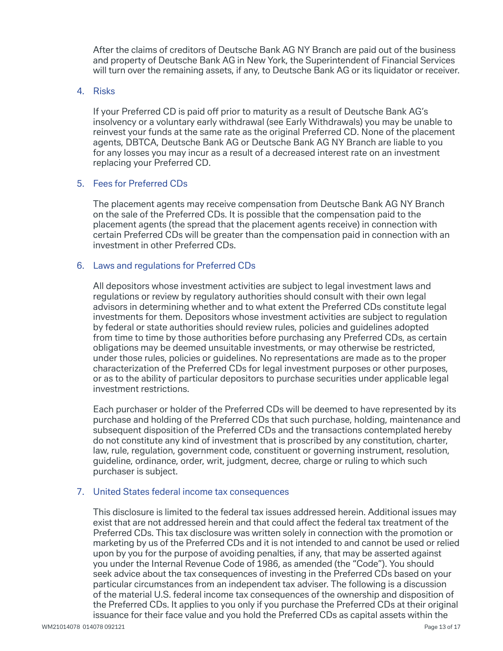After the claims of creditors of Deutsche Bank AG NY Branch are paid out of the business and property of Deutsche Bank AG in New York, the Superintendent of Financial Services will turn over the remaining assets, if any, to Deutsche Bank AG or its liquidator or receiver.

#### 4. Risks

If your Preferred CD is paid off prior to maturity as a result of Deutsche Bank AG's insolvency or a voluntary early withdrawal (see Early Withdrawals) you may be unable to reinvest your funds at the same rate as the original Preferred CD. None of the placement agents, DBTCA, Deutsche Bank AG or Deutsche Bank AG NY Branch are liable to you for any losses you may incur as a result of a decreased interest rate on an investment replacing your Preferred CD.

#### 5. Fees for Preferred CDs

 The placement agents may receive compensation from Deutsche Bank AG NY Branch on the sale of the Preferred CDs. It is possible that the compensation paid to the placement agents (the spread that the placement agents receive) in connection with certain Preferred CDs will be greater than the compensation paid in connection with an investment in other Preferred CDs.

#### 6. Laws and regulations for Preferred CDs

 All depositors whose investment activities are subject to legal investment laws and regulations or review by regulatory authorities should consult with their own legal advisors in determining whether and to what extent the Preferred CDs constitute legal investments for them. Depositors whose investment activities are subject to regulation by federal or state authorities should review rules, policies and guidelines adopted from time to time by those authorities before purchasing any Preferred CDs, as certain obligations may be deemed unsuitable investments, or may otherwise be restricted, under those rules, policies or guidelines. No representations are made as to the proper characterization of the Preferred CDs for legal investment purposes or other purposes. or as to the ability of particular depositors to purchase securities under applicable legal investment restrictions.

 Each purchaser or holder of the Preferred CDs will be deemed to have represented by its purchase and holding of the Preferred CDs that such purchase, holding, maintenance and subsequent disposition of the Preferred CDs and the transactions contemplated hereby do not constitute any kind of investment that is proscribed by any constitution, charter, law, rule, regulation, government code, constituent or governing instrument, resolution, guideline, ordinance, order, writ, judgment, decree, charge or ruling to which such purchaser is subject.

#### 7. United States federal income tax consequences

 This disclosure is limited to the federal tax issues addressed herein. Additional issues may exist that are not addressed herein and that could affect the federal tax treatment of the Preferred CDs. This tax disclosure was written solely in connection with the promotion or marketing by us of the Preferred CDs and it is not intended to and cannot be used or relied upon by you for the purpose of avoiding penalties, if any, that may be asserted against you under the Internal Revenue Code of 1986, as amended (the "Code"). You should seek advice about the tax consequences of investing in the Preferred CDs based on your particular circumstances from an independent tax adviser. The following is a discussion of the material U.S. federal income tax consequences of the ownership and disposition of the Preferred CDs. It applies to you only if you purchase the Preferred CDs at their original issuance for their face value and you hold the Preferred CDs as capital assets within the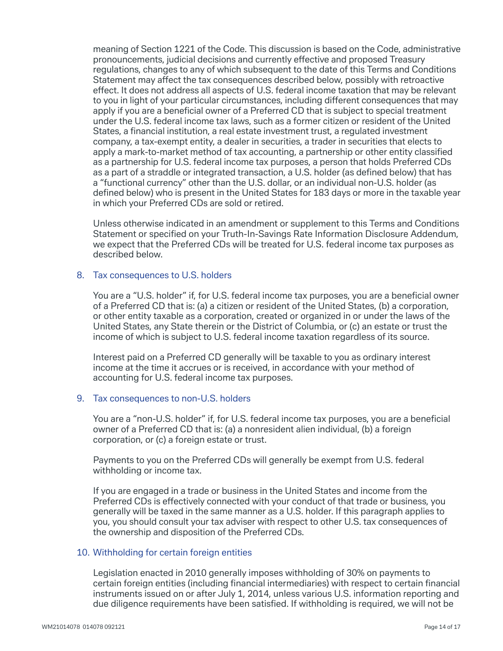meaning of Section 1221 of the Code. This discussion is based on the Code, administrative pronouncements, judicial decisions and currently effective and proposed Treasury regulations, changes to any of which subsequent to the date of this Terms and Conditions Statement may affect the tax consequences described below, possibly with retroactive effect. It does not address all aspects of U.S. federal income taxation that may be relevant to you in light of your particular circumstances, including different consequences that may apply if you are a beneficial owner of a Preferred CD that is subject to special treatment under the U.S. federal income tax laws, such as a former citizen or resident of the United States, a financial institution, a real estate investment trust, a regulated investment company, a tax-exempt entity, a dealer in securities, a trader in securities that elects to apply a mark-to-market method of tax accounting, a partnership or other entity classified as a partnership for U.S. federal income tax purposes, a person that holds Preferred CDs as a part of a straddle or integrated transaction, a U.S. holder (as defined below) that has a "functional currency" other than the U.S. dollar, or an individual non-U.S. holder (as defined below) who is present in the United States for 183 days or more in the taxable year in which your Preferred CDs are sold or retired.

 Unless otherwise indicated in an amendment or supplement to this Terms and Conditions Statement or specified on your Truth-In-Savings Rate Information Disclosure Addendum, we expect that the Preferred CDs will be treated for U.S. federal income tax purposes as described below.

#### 8. Tax consequences to U.S. holders

You are a "U.S. holder" if, for U.S. federal income tax purposes, you are a beneficial owner of a Preferred CD that is: (a) a citizen or resident of the United States, (b) a corporation, or other entity taxable as a corporation, created or organized in or under the laws of the United States, any State therein or the District of Columbia, or (c) an estate or trust the income of which is subject to U.S. federal income taxation regardless of its source.

 Interest paid on a Preferred CD generally will be taxable to you as ordinary interest income at the time it accrues or is received, in accordance with your method of accounting for U.S. federal income tax purposes.

#### 9. Tax consequences to non-U.S. holders

You are a "non-U.S. holder" if, for U.S. federal income tax purposes, you are a beneficial owner of a Preferred CD that is: (a) a nonresident alien individual, (b) a foreign corporation, or (c) a foreign estate or trust.

 Payments to you on the Preferred CDs will generally be exempt from U.S. federal withholding or income tax.

 If you are engaged in a trade or business in the United States and income from the Preferred CDs is effectively connected with your conduct of that trade or business, you generally will be taxed in the same manner as a U.S. holder. If this paragraph applies to you, you should consult your tax adviser with respect to other U.S. tax consequences of the ownership and disposition of the Preferred CDs.

#### 10. Withholding for certain foreign entities

 Legislation enacted in 2010 generally imposes withholding of 30% on payments to certain foreign entities (including financial intermediaries) with respect to certain financial instruments issued on or after July 1, 2014, unless various U.S. information reporting and due diligence requirements have been satisfied. If withholding is required, we will not be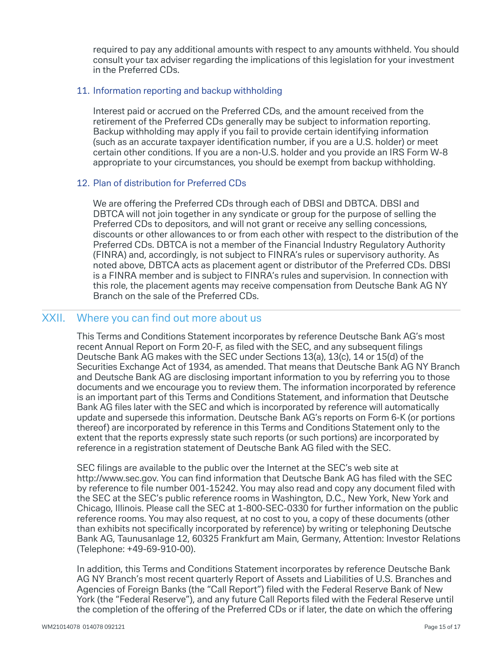required to pay any additional amounts with respect to any amounts withheld. You should consult your tax adviser regarding the implications of this legislation for your investment in the Preferred CDs.

#### 11. Information reporting and backup withholding

 Interest paid or accrued on the Preferred CDs, and the amount received from the retirement of the Preferred CDs generally may be subject to information reporting. Backup withholding may apply if you fail to provide certain identifying information (such as an accurate taxpayer identification number, if you are a U.S. holder) or meet certain other conditions. If you are a non-U.S. holder and you provide an IRS Form W-8 appropriate to your circumstances, you should be exempt from backup withholding.

#### 12. Plan of distribution for Preferred CDs

We are offering the Preferred CDs through each of DBSI and DBTCA. DBSI and DBTCA will not join together in any syndicate or group for the purpose of selling the Preferred CDs to depositors, and will not grant or receive any selling concessions, discounts or other allowances to or from each other with respect to the distribution of the Preferred CDs. DBTCA is not a member of the Financial Industry Regulatory Authority (FINRA) and, accordingly, is not subject to FINRA's rules or supervisory authority. As noted above, DBTCA acts as placement agent or distributor of the Preferred CDs. DBSI is a FINRA member and is subject to FINRA's rules and supervision. In connection with this role, the placement agents may receive compensation from Deutsche Bank AG NY Branch on the sale of the Preferred CDs.

## XXII. Where you can find out more about us

 This Terms and Conditions Statement incorporates by reference Deutsche Bank AG's most recent Annual Report on Form 20-F, as filed with the SEC, and any subsequent filings Deutsche Bank AG makes with the SEC under Sections 13(a), 13(c), 14 or 15(d) of the Securities Exchange Act of 1934, as amended. That means that Deutsche Bank AG NY Branch and Deutsche Bank AG are disclosing important information to you by referring you to those documents and we encourage you to review them. The information incorporated by reference is an important part of this Terms and Conditions Statement, and information that Deutsche Bank AG files later with the SEC and which is incorporated by reference will automatically update and supersede this information. Deutsche Bank AG's reports on Form 6-K (or portions thereof) are incorporated by reference in this Terms and Conditions Statement only to the extent that the reports expressly state such reports (or such portions) are incorporated by reference in a registration statement of Deutsche Bank AG filed with the SEC.

SEC filings are available to the public over the Internet at the SEC's web site at http://www.sec.gov. You can find information that Deutsche Bank AG has filed with the SEC by reference to file number 001-15242. You may also read and copy any document filed with the SEC at the SEC's public reference rooms in Washington, D.C., New York, New York and Chicago, Illinois. Please call the SEC at 1-800-SEC-0330 for further information on the public reference rooms. You may also request, at no cost to you, a copy of these documents (other than exhibits not specifically incorporated by reference) by writing or telephoning Deutsche Bank AG, Taunusanlage 12, 60325 Frankfurt am Main, Germany, Attention: Investor Relations (Telephone: +49-69-910-00).

 In addition, this Terms and Conditions Statement incorporates by reference Deutsche Bank AG NY Branch's most recent quarterly Report of Assets and Liabilities of U.S. Branches and Agencies of Foreign Banks (the "Call Report") filed with the Federal Reserve Bank of New York (the "Federal Reserve"), and any future Call Reports filed with the Federal Reserve until the completion of the offering of the Preferred CDs or if later, the date on which the offering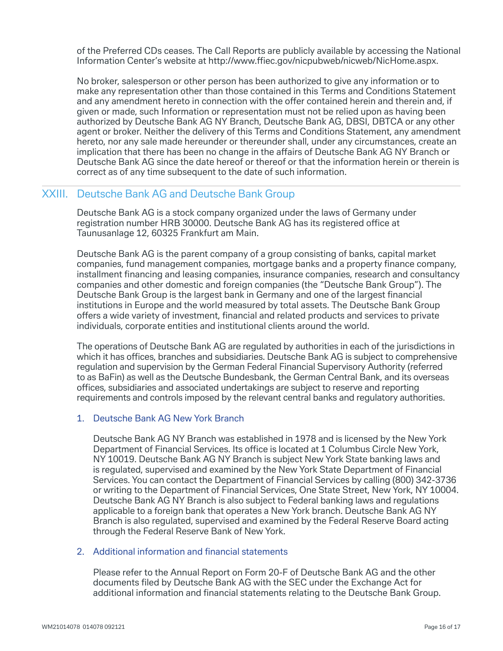of the Preferred CDs ceases. The Call Reports are publicly available by accessing the National Information Center's website at http://www.ffiec.gov/nicpubweb/nicweb/NicHome.aspx.

 No broker, salesperson or other person has been authorized to give any information or to make any representation other than those contained in this Terms and Conditions Statement and any amendment hereto in connection with the offer contained herein and therein and, if given or made, such Information or representation must not be relied upon as having been authorized by Deutsche Bank AG NY Branch, Deutsche Bank AG, DBSI, DBTCA or any other agent or broker. Neither the delivery of this Terms and Conditions Statement, any amendment hereto, nor any sale made hereunder or thereunder shall, under any circumstances, create an implication that there has been no change in the affairs of Deutsche Bank AG NY Branch or Deutsche Bank AG since the date hereof or thereof or that the information herein or therein is correct as of any time subsequent to the date of such information.

#### XXIII. Deutsche Bank AG and Deutsche Bank Group

 Deutsche Bank AG is a stock company organized under the laws of Germany under registration number HRB 30000. Deutsche Bank AG has its registered office at Taunusanlage 12, 60325 Frankfurt am Main.

 Deutsche Bank AG is the parent company of a group consisting of banks, capital market companies, fund management companies, mortgage banks and a property finance company, installment financing and leasing companies, insurance companies, research and consultancy companies and other domestic and foreign companies (the "Deutsche Bank Group"). The Deutsche Bank Group is the largest bank in Germany and one of the largest financial institutions in Europe and the world measured by total assets. The Deutsche Bank Group offers a wide variety of investment, financial and related products and services to private individuals, corporate entities and institutional clients around the world.

 The operations of Deutsche Bank AG are regulated by authorities in each of the jurisdictions in which it has offices, branches and subsidiaries. Deutsche Bank AG is subject to comprehensive regulation and supervision by the German Federal Financial Supervisory Authority (referred to as BaFin) as well as the Deutsche Bundesbank, the German Central Bank, and its overseas offices, subsidiaries and associated undertakings are subject to reserve and reporting requirements and controls imposed by the relevant central banks and regulatory authorities.

#### 1. Deutsche Bank AG New York Branch

 Deutsche Bank AG NY Branch was established in 1978 and is licensed by the New York Department of Financial Services. Its office is located at 1 Columbus Circle New York, NY 10019. Deutsche Bank AG NY Branch is subject New York State banking laws and is regulated, supervised and examined by the New York State Department of Financial Services. You can contact the Department of Financial Services by calling (800) 342-3736 or writing to the Department of Financial Services, One State Street, New York, NY 10004. Deutsche Bank AG NY Branch is also subject to Federal banking laws and regulations applicable to a foreign bank that operates a New York branch. Deutsche Bank AG NY Branch is also regulated, supervised and examined by the Federal Reserve Board acting through the Federal Reserve Bank of New York.

#### 2. Additional information and financial statements

 Please refer to the Annual Report on Form 20-F of Deutsche Bank AG and the other documents filed by Deutsche Bank AG with the SEC under the Exchange Act for additional information and financial statements relating to the Deutsche Bank Group.